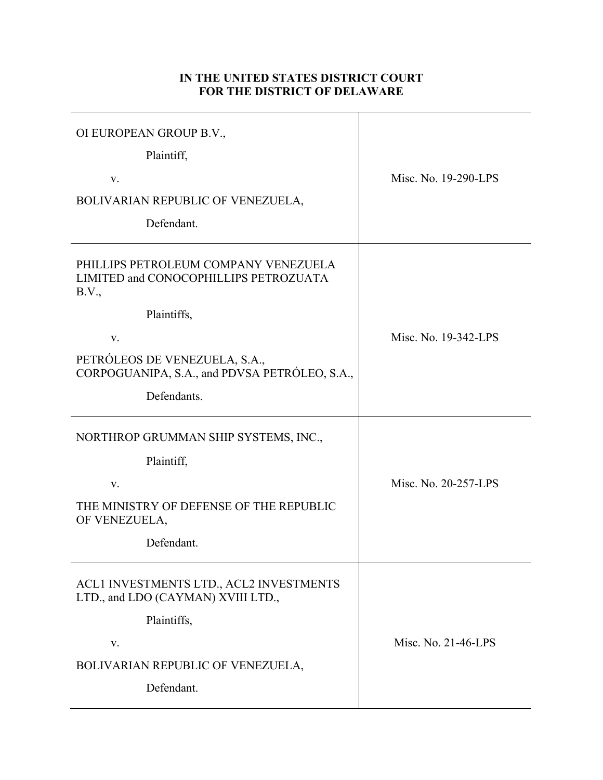## **IN THE UNITED STATES DISTRICT COURT FOR THE DISTRICT OF DELAWARE**

| OI EUROPEAN GROUP B.V.,<br>Plaintiff,<br>V.<br>BOLIVARIAN REPUBLIC OF VENEZUELA,<br>Defendant.                                                                                                               | Misc. No. 19-290-LPS |
|--------------------------------------------------------------------------------------------------------------------------------------------------------------------------------------------------------------|----------------------|
| PHILLIPS PETROLEUM COMPANY VENEZUELA<br>LIMITED and CONOCOPHILLIPS PETROZUATA<br>B.V.,<br>Plaintiffs,<br>V.<br>PETRÓLEOS DE VENEZUELA, S.A.,<br>CORPOGUANIPA, S.A., and PDVSA PETRÓLEO, S.A.,<br>Defendants. | Misc. No. 19-342-LPS |
| NORTHROP GRUMMAN SHIP SYSTEMS, INC.,<br>Plaintiff,<br>V.<br>THE MINISTRY OF DEFENSE OF THE REPUBLIC<br>OF VENEZUELA,<br>Defendant.                                                                           | Misc. No. 20-257-LPS |
| ACL1 INVESTMENTS LTD., ACL2 INVESTMENTS<br>LTD., and LDO (CAYMAN) XVIII LTD.,<br>Plaintiffs,<br>V.<br>BOLIVARIAN REPUBLIC OF VENEZUELA,<br>Defendant.                                                        | Misc. No. 21-46-LPS  |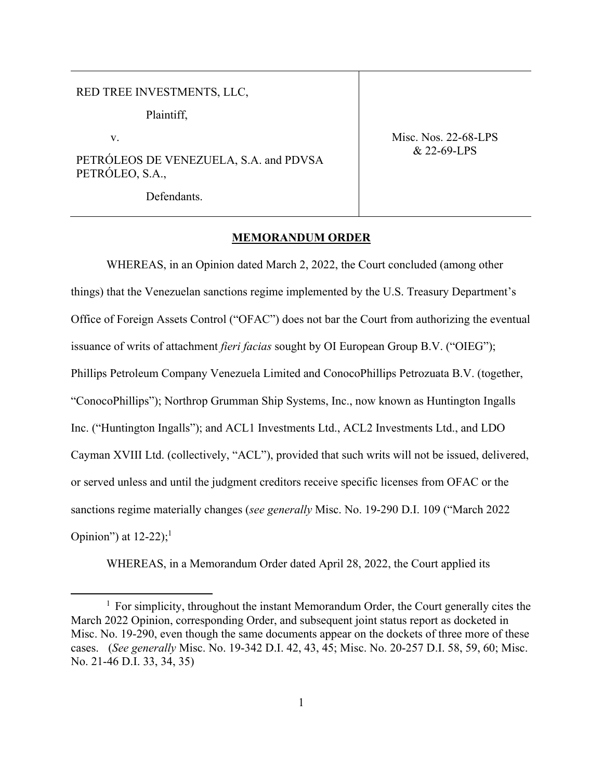## RED TREE INVESTMENTS, LLC,

Plaintiff,

v.

PETRÓLEOS DE VENEZUELA, S.A. and PDVSA PETRÓLEO, S.A.,

Defendants.

Misc. Nos. 22-68-LPS & 22-69-LPS

## **MEMORANDUM ORDER**

WHEREAS, in an Opinion dated March 2, 2022, the Court concluded (among other things) that the Venezuelan sanctions regime implemented by the U.S. Treasury Department's Office of Foreign Assets Control ("OFAC") does not bar the Court from authorizing the eventual issuance of writs of attachment *fieri facias* sought by OI European Group B.V. ("OIEG"); Phillips Petroleum Company Venezuela Limited and ConocoPhillips Petrozuata B.V. (together, "ConocoPhillips"); Northrop Grumman Ship Systems, Inc., now known as Huntington Ingalls Inc. ("Huntington Ingalls"); and ACL1 Investments Ltd., ACL2 Investments Ltd., and LDO Cayman XVIII Ltd. (collectively, "ACL"), provided that such writs will not be issued, delivered, or served unless and until the judgment creditors receive specific licenses from OFAC or the sanctions regime materially changes (*see generally* Misc. No. 19-290 D.I. 109 ("March 2022 Opinion") at  $12-22$ );<sup>1</sup>

WHEREAS, in a Memorandum Order dated April 28, 2022, the Court applied its

 $<sup>1</sup>$  For simplicity, throughout the instant Memorandum Order, the Court generally cites the</sup> March 2022 Opinion, corresponding Order, and subsequent joint status report as docketed in Misc. No. 19-290, even though the same documents appear on the dockets of three more of these cases. (*See generally* Misc. No. 19-342 D.I. 42, 43, 45; Misc. No. 20-257 D.I. 58, 59, 60; Misc. No. 21-46 D.I. 33, 34, 35)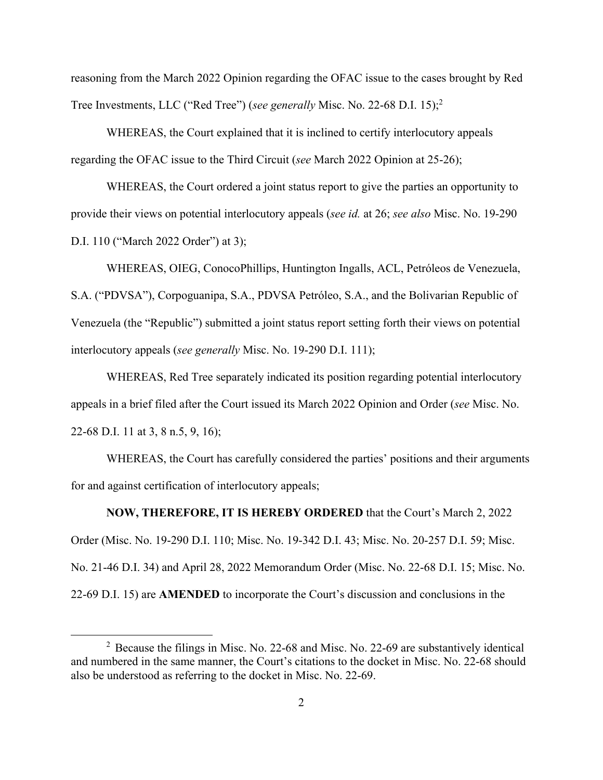reasoning from the March 2022 Opinion regarding the OFAC issue to the cases brought by Red Tree Investments, LLC ("Red Tree") (*see generally* Misc. No. 22-68 D.I. 15);2

WHEREAS, the Court explained that it is inclined to certify interlocutory appeals regarding the OFAC issue to the Third Circuit (*see* March 2022 Opinion at 25-26);

WHEREAS, the Court ordered a joint status report to give the parties an opportunity to provide their views on potential interlocutory appeals (*see id.* at 26; *see also* Misc. No. 19-290 D.I. 110 ("March 2022 Order") at 3);

WHEREAS, OIEG, ConocoPhillips, Huntington Ingalls, ACL, Petróleos de Venezuela, S.A. ("PDVSA"), Corpoguanipa, S.A., PDVSA Petróleo, S.A., and the Bolivarian Republic of Venezuela (the "Republic") submitted a joint status report setting forth their views on potential interlocutory appeals (*see generally* Misc. No. 19-290 D.I. 111);

WHEREAS, Red Tree separately indicated its position regarding potential interlocutory appeals in a brief filed after the Court issued its March 2022 Opinion and Order (*see* Misc. No. 22-68 D.I. 11 at 3, 8 n.5, 9, 16);

WHEREAS, the Court has carefully considered the parties' positions and their arguments for and against certification of interlocutory appeals;

**NOW, THEREFORE, IT IS HEREBY ORDERED** that the Court's March 2, 2022 Order (Misc. No. 19-290 D.I. 110; Misc. No. 19-342 D.I. 43; Misc. No. 20-257 D.I. 59; Misc. No. 21-46 D.I. 34) and April 28, 2022 Memorandum Order (Misc. No. 22-68 D.I. 15; Misc. No. 22-69 D.I. 15) are **AMENDED** to incorporate the Court's discussion and conclusions in the

 $2$  Because the filings in Misc. No. 22-68 and Misc. No. 22-69 are substantively identical and numbered in the same manner, the Court's citations to the docket in Misc. No. 22-68 should also be understood as referring to the docket in Misc. No. 22-69.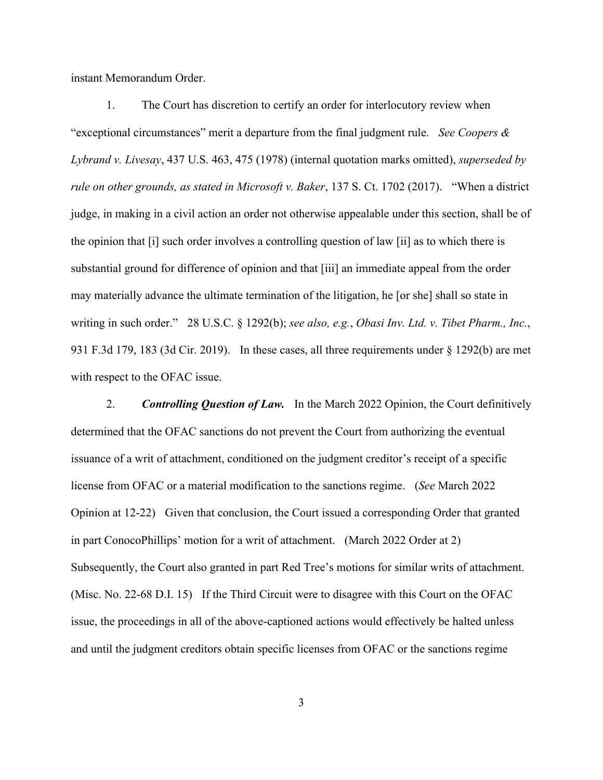instant Memorandum Order.

1. The Court has discretion to certify an order for interlocutory review when "exceptional circumstances" merit a departure from the final judgment rule. *See Coopers & Lybrand v. Livesay*, 437 U.S. 463, 475 (1978) (internal quotation marks omitted), *superseded by rule on other grounds, as stated in Microsoft v. Baker*, 137 S. Ct. 1702 (2017). "When a district judge, in making in a civil action an order not otherwise appealable under this section, shall be of the opinion that [i] such order involves a controlling question of law [ii] as to which there is substantial ground for difference of opinion and that [iii] an immediate appeal from the order may materially advance the ultimate termination of the litigation, he [or she] shall so state in writing in such order." 28 U.S.C. § 1292(b); *see also, e.g.*, *Obasi Inv. Ltd. v. Tibet Pharm., Inc.*, 931 F.3d 179, 183 (3d Cir. 2019). In these cases, all three requirements under § 1292(b) are met with respect to the OFAC issue.

2. *Controlling Question of Law.* In the March 2022 Opinion, the Court definitively determined that the OFAC sanctions do not prevent the Court from authorizing the eventual issuance of a writ of attachment, conditioned on the judgment creditor's receipt of a specific license from OFAC or a material modification to the sanctions regime. (*See* March 2022 Opinion at 12-22) Given that conclusion, the Court issued a corresponding Order that granted in part ConocoPhillips' motion for a writ of attachment. (March 2022 Order at 2) Subsequently, the Court also granted in part Red Tree's motions for similar writs of attachment. (Misc. No. 22-68 D.I. 15) If the Third Circuit were to disagree with this Court on the OFAC issue, the proceedings in all of the above-captioned actions would effectively be halted unless and until the judgment creditors obtain specific licenses from OFAC or the sanctions regime

3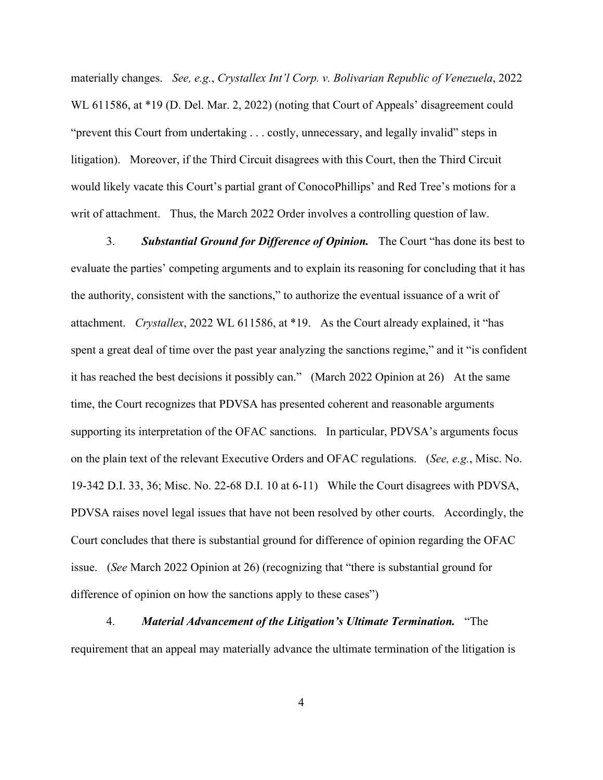materially changes. *See, e.g.*, *Crystallex Int'l Corp. v. Bolivarian Republic of Venezuela*, 2022 WL 611586, at \*19 (D. Del. Mar. 2, 2022) (noting that Court of Appeals' disagreement could "prevent this Court from undertaking . . . costly, unnecessary, and legally invalid" steps in litigation). Moreover, if the Third Circuit disagrees with this Court, then the Third Circuit would likely vacate this Court's partial grant of ConocoPhillips' and Red Tree's motions for a writ of attachment. Thus, the March 2022 Order involves a controlling question of law.

3. *Substantial Ground for Difference of Opinion.* The Court "has done its best to evaluate the parties' competing arguments and to explain its reasoning for concluding that it has the authority, consistent with the sanctions," to authorize the eventual issuance of a writ of attachment. *Crystallex*, 2022 WL 611586, at \*19. As the Court already explained, it "has spent a great deal of time over the past year analyzing the sanctions regime," and it "is confident it has reached the best decisions it possibly can." (March 2022 Opinion at 26) At the same time, the Court recognizes that PDVSA has presented coherent and reasonable arguments supporting its interpretation of the OFAC sanctions. In particular, PDVSA's arguments focus on the plain text of the relevant Executive Orders and OFAC regulations. (*See, e.g.*, Misc. No. 19-342 D.I. 33, 36; Misc. No. 22-68 D.I. 10 at 6-11) While the Court disagrees with PDVSA, PDVSA raises novel legal issues that have not been resolved by other courts. Accordingly, the Court concludes that there is substantial ground for difference of opinion regarding the OFAC issue. (*See* March 2022 Opinion at 26) (recognizing that "there is substantial ground for difference of opinion on how the sanctions apply to these cases")

4. *Material Advancement of the Litigation's Ultimate Termination.* "The requirement that an appeal may materially advance the ultimate termination of the litigation is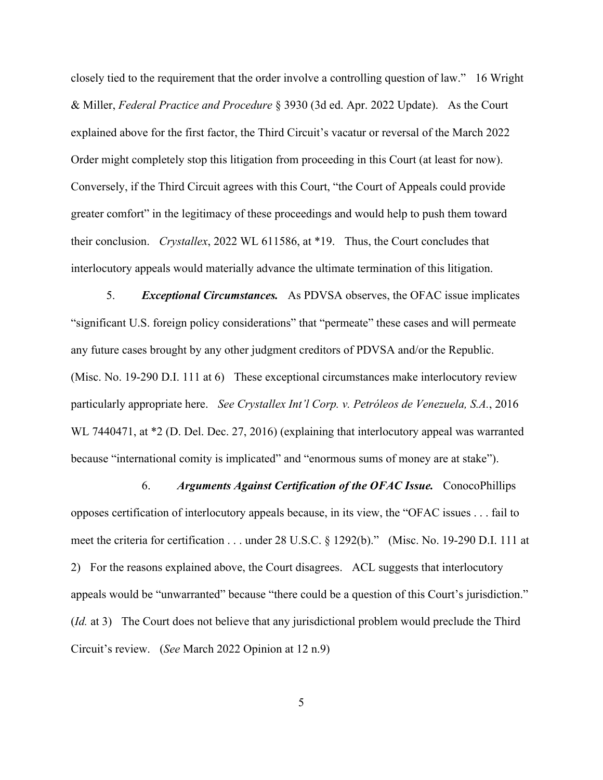closely tied to the requirement that the order involve a controlling question of law." 16 Wright & Miller, *Federal Practice and Procedure* § 3930 (3d ed. Apr. 2022 Update). As the Court explained above for the first factor, the Third Circuit's vacatur or reversal of the March 2022 Order might completely stop this litigation from proceeding in this Court (at least for now). Conversely, if the Third Circuit agrees with this Court, "the Court of Appeals could provide greater comfort" in the legitimacy of these proceedings and would help to push them toward their conclusion. *Crystallex*, 2022 WL 611586, at \*19. Thus, the Court concludes that interlocutory appeals would materially advance the ultimate termination of this litigation.

5. *Exceptional Circumstances.* As PDVSA observes, the OFAC issue implicates "significant U.S. foreign policy considerations" that "permeate" these cases and will permeate any future cases brought by any other judgment creditors of PDVSA and/or the Republic. (Misc. No. 19-290 D.I. 111 at 6) These exceptional circumstances make interlocutory review particularly appropriate here. *See Crystallex Int'l Corp. v. Petróleos de Venezuela, S.A.*, 2016 WL 7440471, at  $*2$  (D. Del. Dec. 27, 2016) (explaining that interlocutory appeal was warranted because "international comity is implicated" and "enormous sums of money are at stake").

6. *Arguments Against Certification of the OFAC Issue.* ConocoPhillips opposes certification of interlocutory appeals because, in its view, the "OFAC issues . . . fail to meet the criteria for certification . . . under 28 U.S.C. § 1292(b)." (Misc. No. 19-290 D.I. 111 at 2) For the reasons explained above, the Court disagrees. ACL suggests that interlocutory appeals would be "unwarranted" because "there could be a question of this Court's jurisdiction." (*Id.* at 3) The Court does not believe that any jurisdictional problem would preclude the Third Circuit's review. (*See* March 2022 Opinion at 12 n.9)

5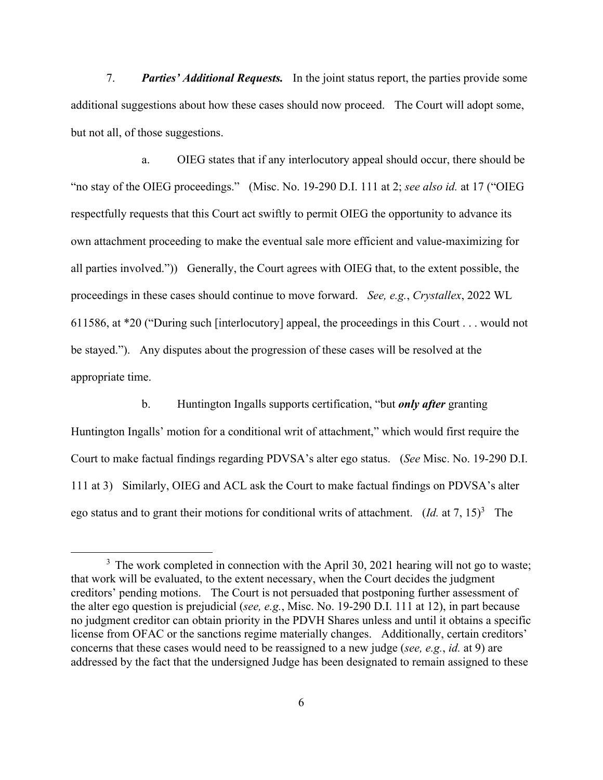7. *Parties' Additional Requests.* In the joint status report, the parties provide some additional suggestions about how these cases should now proceed. The Court will adopt some, but not all, of those suggestions.

a. OIEG states that if any interlocutory appeal should occur, there should be "no stay of the OIEG proceedings." (Misc. No. 19-290 D.I. 111 at 2; *see also id.* at 17 ("OIEG respectfully requests that this Court act swiftly to permit OIEG the opportunity to advance its own attachment proceeding to make the eventual sale more efficient and value-maximizing for all parties involved.")) Generally, the Court agrees with OIEG that, to the extent possible, the proceedings in these cases should continue to move forward. *See, e.g.*, *Crystallex*, 2022 WL 611586, at \*20 ("During such [interlocutory] appeal, the proceedings in this Court . . . would not be stayed."). Any disputes about the progression of these cases will be resolved at the appropriate time.

b. Huntington Ingalls supports certification, "but *only after* granting Huntington Ingalls' motion for a conditional writ of attachment," which would first require the Court to make factual findings regarding PDVSA's alter ego status. (*See* Misc. No. 19-290 D.I. 111 at 3) Similarly, OIEG and ACL ask the Court to make factual findings on PDVSA's alter ego status and to grant their motions for conditional writs of attachment. (*Id.* at  $7, 15$ <sup>3</sup> The

 $3$  The work completed in connection with the April 30, 2021 hearing will not go to waste; that work will be evaluated, to the extent necessary, when the Court decides the judgment creditors' pending motions. The Court is not persuaded that postponing further assessment of the alter ego question is prejudicial (*see, e.g.*, Misc. No. 19-290 D.I. 111 at 12), in part because no judgment creditor can obtain priority in the PDVH Shares unless and until it obtains a specific license from OFAC or the sanctions regime materially changes. Additionally, certain creditors' concerns that these cases would need to be reassigned to a new judge (*see, e.g.*, *id.* at 9) are addressed by the fact that the undersigned Judge has been designated to remain assigned to these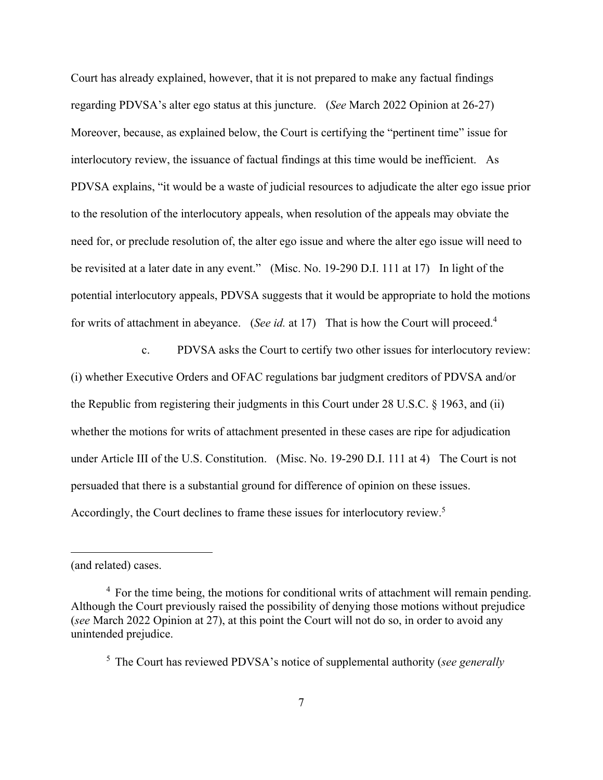Court has already explained, however, that it is not prepared to make any factual findings regarding PDVSA's alter ego status at this juncture. (*See* March 2022 Opinion at 26-27) Moreover, because, as explained below, the Court is certifying the "pertinent time" issue for interlocutory review, the issuance of factual findings at this time would be inefficient. As PDVSA explains, "it would be a waste of judicial resources to adjudicate the alter ego issue prior to the resolution of the interlocutory appeals, when resolution of the appeals may obviate the need for, or preclude resolution of, the alter ego issue and where the alter ego issue will need to be revisited at a later date in any event." (Misc. No. 19-290 D.I. 111 at 17) In light of the potential interlocutory appeals, PDVSA suggests that it would be appropriate to hold the motions for writs of attachment in abeyance. (*See id.* at 17) That is how the Court will proceed.4

c. PDVSA asks the Court to certify two other issues for interlocutory review: (i) whether Executive Orders and OFAC regulations bar judgment creditors of PDVSA and/or the Republic from registering their judgments in this Court under 28 U.S.C. § 1963, and (ii) whether the motions for writs of attachment presented in these cases are ripe for adjudication under Article III of the U.S. Constitution. (Misc. No. 19-290 D.I. 111 at 4) The Court is not persuaded that there is a substantial ground for difference of opinion on these issues. Accordingly, the Court declines to frame these issues for interlocutory review.<sup>5</sup>

(and related) cases.

<sup>&</sup>lt;sup>4</sup> For the time being, the motions for conditional writs of attachment will remain pending. Although the Court previously raised the possibility of denying those motions without prejudice (*see* March 2022 Opinion at 27), at this point the Court will not do so, in order to avoid any unintended prejudice.

<sup>5</sup> The Court has reviewed PDVSA's notice of supplemental authority (*see generally*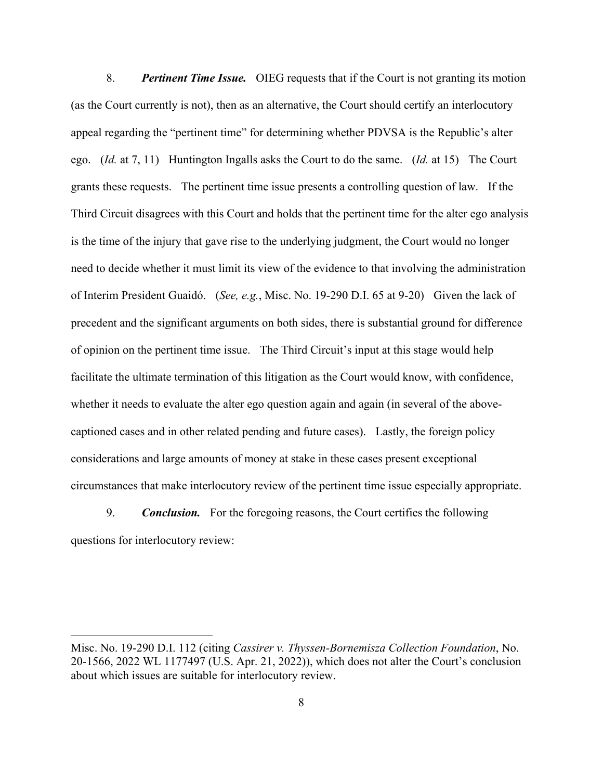8. *Pertinent Time Issue.* OIEG requests that if the Court is not granting its motion (as the Court currently is not), then as an alternative, the Court should certify an interlocutory appeal regarding the "pertinent time" for determining whether PDVSA is the Republic's alter ego. (*Id.* at 7, 11) Huntington Ingalls asks the Court to do the same. (*Id.* at 15) The Court grants these requests. The pertinent time issue presents a controlling question of law. If the Third Circuit disagrees with this Court and holds that the pertinent time for the alter ego analysis is the time of the injury that gave rise to the underlying judgment, the Court would no longer need to decide whether it must limit its view of the evidence to that involving the administration of Interim President Guaidó. (*See, e.g.*, Misc. No. 19-290 D.I. 65 at 9-20) Given the lack of precedent and the significant arguments on both sides, there is substantial ground for difference of opinion on the pertinent time issue. The Third Circuit's input at this stage would help facilitate the ultimate termination of this litigation as the Court would know, with confidence, whether it needs to evaluate the alter ego question again and again (in several of the abovecaptioned cases and in other related pending and future cases). Lastly, the foreign policy considerations and large amounts of money at stake in these cases present exceptional circumstances that make interlocutory review of the pertinent time issue especially appropriate.

9. *Conclusion.* For the foregoing reasons, the Court certifies the following questions for interlocutory review:

Misc. No. 19-290 D.I. 112 (citing *Cassirer v. Thyssen-Bornemisza Collection Foundation*, No. 20-1566, 2022 WL 1177497 (U.S. Apr. 21, 2022)), which does not alter the Court's conclusion about which issues are suitable for interlocutory review.